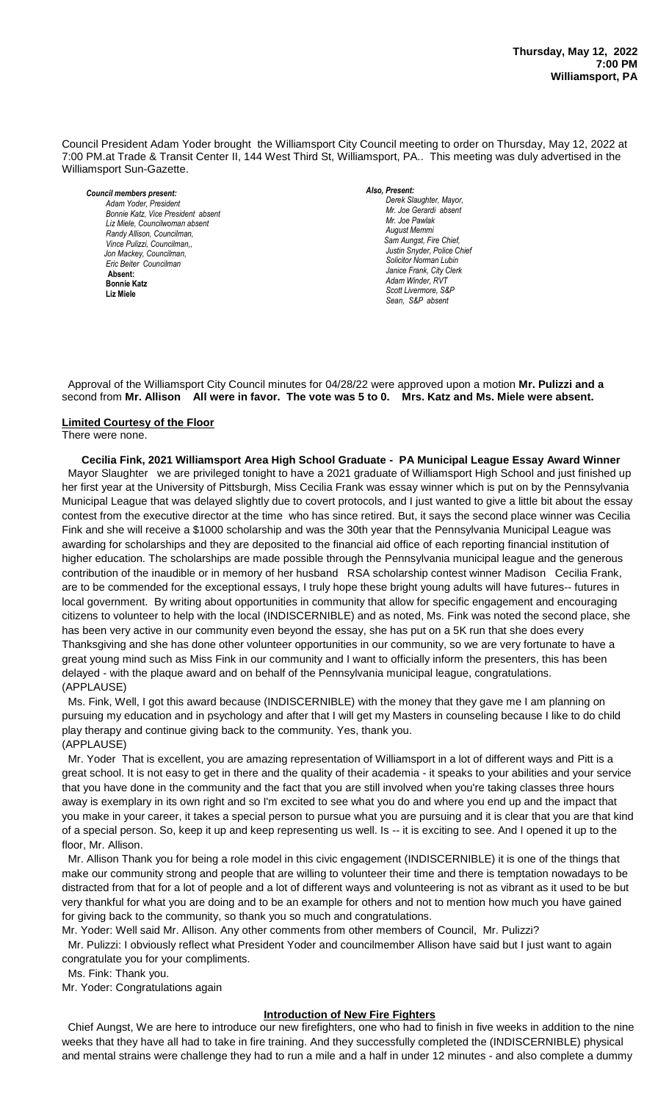Council President Adam Yoder brought the Williamsport City Council meeting to order on Thursday, May 12, 2022 at 7:00 PM.at Trade & Transit Center II, 144 West Third St, Williamsport, PA.. This meeting was duly advertised in the Williamsport Sun-Gazette.

*Council members present: Adam Yoder, President , President Bonnie Katz, Vice President absent Liz Miele, Councilwoman absent Randy Allison, Councilman, Vince Pulizzi, Councilman,, Jon Mackey, Councilman, Eric Beiter Councilman*  **Absent: Bonnie Katz Liz Miele**

## *Also, Present:*

**Derek Slaughter, Mavor.** *Mr. Joe Gerardi absent Mr. Joseph Pawlak Mr. Joe Pawlak August Memmi* **Sam Aungst, Fire Chief,** Justin Snyder, Police Chief *Solicitor Norman Lubin Janice Frank, City Clerk Adam Winder, RVT Scott Livermore, S&P Sean, S&P absent*

 Approval of the Williamsport City Council minutes for 04/28/22 were approved upon a motion **Mr. Pulizzi and a** second from Mr. Alli<mark>son All were in favor. The vote was 5 to 0. Mrs. Katz and Ms. Miele were absent.</mark>

### **Limited Courtesy of the Floor**

#### There were none.

**Cecilia Fink, 2021 Williamsport Area High School Graduate - PA Municipal League Essay Award Winner** *Mr. Tom Cillo C. Dean Heinbach, Fire Chief* Mayor Slaughter we are privileged tonight to have a 2021 graduate of Williamsport High School and just finished up her first year at the University of Pittsburgh, Miss Cecilia Frank was essay winner which is put on by the Pennsylvania Municipal League that was delayed slightly due to covert protocols, and I just wanted to give a little bit about the essay contest from the executive director at the time who has since retired. But, it says the second place winner was Cecilia Fink and she will receive a \$1000 scholarship and was the 30th year that the Pennsylvania Municipal League was awarding for scholarships and they are deposited to the financial aid office of each reporting financial institution of higher education. The scholarships are made possible through the Pennsylvania municipal league and the generous contribution of the inaudible or in memory of her husband RSA scholarship contest winner Madison Cecilia Frank, *Members of News Media* are to be commended for the exceptional essays, I truly hope these bright young adults will have futures-- futures in local government. By writing about opportunities in community that allow for specific engagement and encouraging citizens to volunteer to help with the local (INDISCERNIBLE) and as noted, Ms. Fink was noted the second place, she has been very active in our community even beyond the essay, she has put on a 5K run that she does every Thanksgiving and she has done other volunteer opportunities in our community, so we are very fortunate to have a great young mind such as Miss Fink in our community and I want to officially inform the presenters, this has been delayed - with the plaque award and on behalf of the Pennsylvania municipal league, congratulations. (APPLAUSE) - PA Municipal League Essay Award Winner *Fodd Killer Write* 

 Ms. Fink, Well, I got this award because (INDISCERNIBLE) with the money that they gave me I am planning on pursuing my education and in psychology and after that I will get my Masters in counseling because I like to do child play therapy and continue giving back to the community. Yes, thank you. (APPLAUSE)

 Mr. Yoder That is excellent, you are amazing representation of Williamsport in a lot of different ways and Pitt is a great school. It is not easy to get in there and the quality of their academia - it speaks to your abilities and your service that you have done in the community and the fact that you are still involved when you're taking classes three hours away is exemplary in its own right and so I'm excited to see what you do and where you end up and the impact that you make in your career, it takes a special person to pursue what you are pursuing and it is clear that you are that kind of a special person. So, keep it up and keep representing us well. Is -- it is exciting to see. And I opened it up to the floor, Mr. Allison.

 Mr. Allison Thank you for being a role model in this civic engagement (INDISCERNIBLE) it is one of the things that make our community strong and people that are willing to volunteer their time and there is temptation nowadays to be distracted from that for a lot of people and a lot of different ways and volunteering is not as vibrant as it used to be but very thankful for what you are doing and to be an example for others and not to mention how much you have gained for giving back to the community, so thank you so much and congratulations.

Mr. Yoder: Well said Mr. Allison. Any other comments from other members of Council, Mr. Pulizzi?

 Mr. Pulizzi: I obviously reflect what President Yoder and councilmember Allison have said but I just want to again congratulate you for your compliments.

Ms. Fink: Thank you.

Mr. Yoder: Congratulations again

### **Introduction of New Fire Fighters**

 Chief Aungst, We are here to introduce our new firefighters, one who had to finish in five weeks in addition to the nine weeks that they have all had to take in fire training. And they successfully completed the (INDISCERNIBLE) physical and mental strains were challenge they had to run a mile and a half in under 12 minutes - and also complete a dummy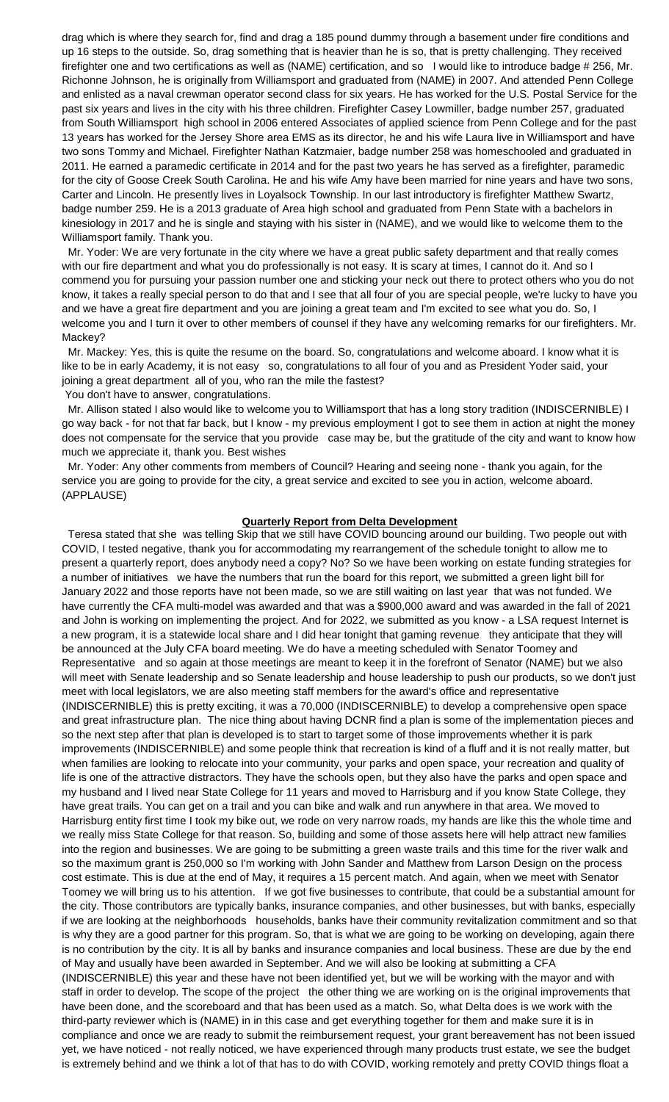drag which is where they search for, find and drag a 185 pound dummy through a basement under fire conditions and up 16 steps to the outside. So, drag something that is heavier than he is so, that is pretty challenging. They received firefighter one and two certifications as well as (NAME) certification, and so I would like to introduce badge # 256, Mr. Richonne Johnson, he is originally from Williamsport and graduated from (NAME) in 2007. And attended Penn College and enlisted as a naval crewman operator second class for six years. He has worked for the U.S. Postal Service for the past six years and lives in the city with his three children. Firefighter Casey Lowmiller, badge number 257, graduated from South Williamsport high school in 2006 entered Associates of applied science from Penn College and for the past 13 years has worked for the Jersey Shore area EMS as its director, he and his wife Laura live in Williamsport and have two sons Tommy and Michael. Firefighter Nathan Katzmaier, badge number 258 was homeschooled and graduated in 2011. He earned a paramedic certificate in 2014 and for the past two years he has served as a firefighter, paramedic for the city of Goose Creek South Carolina. He and his wife Amy have been married for nine years and have two sons, Carter and Lincoln. He presently lives in Loyalsock Township. In our last introductory is firefighter Matthew Swartz, badge number 259. He is a 2013 graduate of Area high school and graduated from Penn State with a bachelors in kinesiology in 2017 and he is single and staying with his sister in (NAME), and we would like to welcome them to the Williamsport family. Thank you.

 Mr. Yoder: We are very fortunate in the city where we have a great public safety department and that really comes with our fire department and what you do professionally is not easy. It is scary at times, I cannot do it. And so I commend you for pursuing your passion number one and sticking your neck out there to protect others who you do not know, it takes a really special person to do that and I see that all four of you are special people, we're lucky to have you and we have a great fire department and you are joining a great team and I'm excited to see what you do. So, I welcome you and I turn it over to other members of counsel if they have any welcoming remarks for our firefighters. Mr. Mackey?

 Mr. Mackey: Yes, this is quite the resume on the board. So, congratulations and welcome aboard. I know what it is like to be in early Academy, it is not easy so, congratulations to all four of you and as President Yoder said, your joining a great department all of you, who ran the mile the fastest?

You don't have to answer, congratulations.

 Mr. Allison stated I also would like to welcome you to Williamsport that has a long story tradition (INDISCERNIBLE) I go way back - for not that far back, but I know - my previous employment I got to see them in action at night the money does not compensate for the service that you provide case may be, but the gratitude of the city and want to know how much we appreciate it, thank you. Best wishes

 Mr. Yoder: Any other comments from members of Council? Hearing and seeing none - thank you again, for the service you are going to provide for the city, a great service and excited to see you in action, welcome aboard. (APPLAUSE)

#### **Quarterly Report from Delta Development**

 Teresa stated that she was telling Skip that we still have COVID bouncing around our building. Two people out with COVID, I tested negative, thank you for accommodating my rearrangement of the schedule tonight to allow me to present a quarterly report, does anybody need a copy? No? So we have been working on estate funding strategies for a number of initiatives we have the numbers that run the board for this report, we submitted a green light bill for January 2022 and those reports have not been made, so we are still waiting on last year that was not funded. We have currently the CFA multi-model was awarded and that was a \$900,000 award and was awarded in the fall of 2021 and John is working on implementing the project. And for 2022, we submitted as you know - a LSA request Internet is a new program, it is a statewide local share and I did hear tonight that gaming revenue they anticipate that they will be announced at the July CFA board meeting. We do have a meeting scheduled with Senator Toomey and Representative and so again at those meetings are meant to keep it in the forefront of Senator (NAME) but we also will meet with Senate leadership and so Senate leadership and house leadership to push our products, so we don't just meet with local legislators, we are also meeting staff members for the award's office and representative (INDISCERNIBLE) this is pretty exciting, it was a 70,000 (INDISCERNIBLE) to develop a comprehensive open space and great infrastructure plan. The nice thing about having DCNR find a plan is some of the implementation pieces and so the next step after that plan is developed is to start to target some of those improvements whether it is park improvements (INDISCERNIBLE) and some people think that recreation is kind of a fluff and it is not really matter, but when families are looking to relocate into your community, your parks and open space, your recreation and quality of life is one of the attractive distractors. They have the schools open, but they also have the parks and open space and my husband and I lived near State College for 11 years and moved to Harrisburg and if you know State College, they have great trails. You can get on a trail and you can bike and walk and run anywhere in that area. We moved to Harrisburg entity first time I took my bike out, we rode on very narrow roads, my hands are like this the whole time and we really miss State College for that reason. So, building and some of those assets here will help attract new families into the region and businesses. We are going to be submitting a green waste trails and this time for the river walk and so the maximum grant is 250,000 so I'm working with John Sander and Matthew from Larson Design on the process cost estimate. This is due at the end of May, it requires a 15 percent match. And again, when we meet with Senator Toomey we will bring us to his attention. If we got five businesses to contribute, that could be a substantial amount for the city. Those contributors are typically banks, insurance companies, and other businesses, but with banks, especially if we are looking at the neighborhoods households, banks have their community revitalization commitment and so that is why they are a good partner for this program. So, that is what we are going to be working on developing, again there is no contribution by the city. It is all by banks and insurance companies and local business. These are due by the end of May and usually have been awarded in September. And we will also be looking at submitting a CFA (INDISCERNIBLE) this year and these have not been identified yet, but we will be working with the mayor and with staff in order to develop. The scope of the project the other thing we are working on is the original improvements that have been done, and the scoreboard and that has been used as a match. So, what Delta does is we work with the third-party reviewer which is (NAME) in in this case and get everything together for them and make sure it is in compliance and once we are ready to submit the reimbursement request, your grant bereavement has not been issued yet, we have noticed - not really noticed, we have experienced through many products trust estate, we see the budget is extremely behind and we think a lot of that has to do with COVID, working remotely and pretty COVID things float a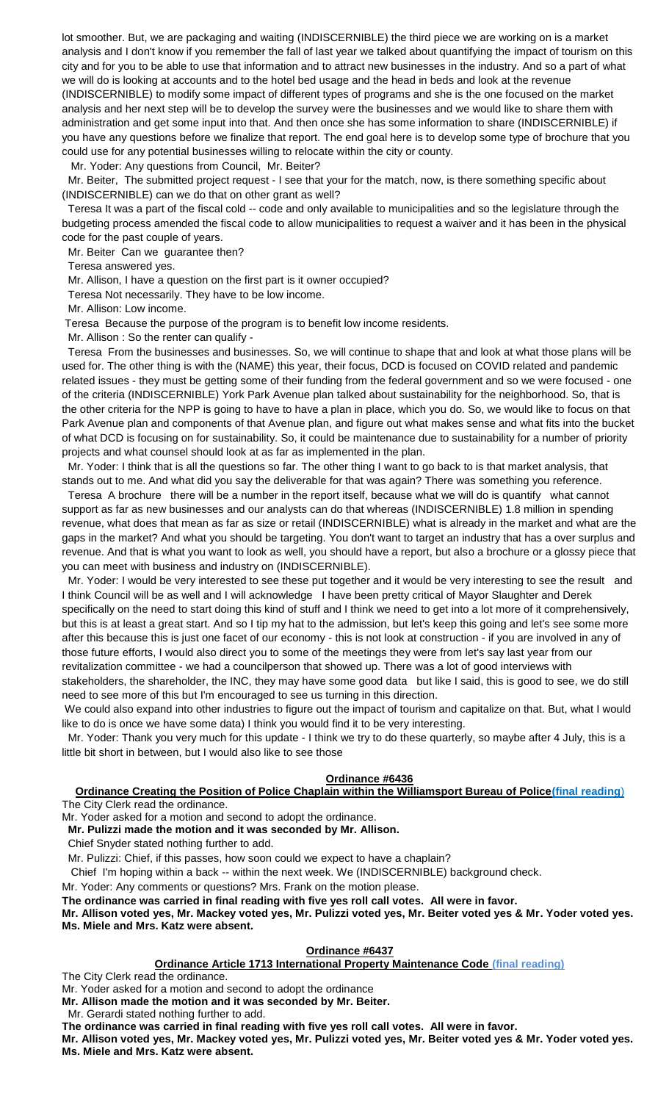lot smoother. But, we are packaging and waiting (INDISCERNIBLE) the third piece we are working on is a market analysis and I don't know if you remember the fall of last year we talked about quantifying the impact of tourism on this city and for you to be able to use that information and to attract new businesses in the industry. And so a part of what we will do is looking at accounts and to the hotel bed usage and the head in beds and look at the revenue (INDISCERNIBLE) to modify some impact of different types of programs and she is the one focused on the market analysis and her next step will be to develop the survey were the businesses and we would like to share them with administration and get some input into that. And then once she has some information to share (INDISCERNIBLE) if you have any questions before we finalize that report. The end goal here is to develop some type of brochure that you could use for any potential businesses willing to relocate within the city or county.

Mr. Yoder: Any questions from Council, Mr. Beiter?

 Mr. Beiter, The submitted project request - I see that your for the match, now, is there something specific about (INDISCERNIBLE) can we do that on other grant as well?

 Teresa It was a part of the fiscal cold -- code and only available to municipalities and so the legislature through the budgeting process amended the fiscal code to allow municipalities to request a waiver and it has been in the physical code for the past couple of years.

Mr. Beiter Can we guarantee then?

Teresa answered yes.

Mr. Allison, I have a question on the first part is it owner occupied?

Teresa Not necessarily. They have to be low income.

Mr. Allison: Low income.

Teresa Because the purpose of the program is to benefit low income residents.

Mr. Allison : So the renter can qualify -

 Teresa From the businesses and businesses. So, we will continue to shape that and look at what those plans will be used for. The other thing is with the (NAME) this year, their focus, DCD is focused on COVID related and pandemic related issues - they must be getting some of their funding from the federal government and so we were focused - one of the criteria (INDISCERNIBLE) York Park Avenue plan talked about sustainability for the neighborhood. So, that is the other criteria for the NPP is going to have to have a plan in place, which you do. So, we would like to focus on that Park Avenue plan and components of that Avenue plan, and figure out what makes sense and what fits into the bucket of what DCD is focusing on for sustainability. So, it could be maintenance due to sustainability for a number of priority projects and what counsel should look at as far as implemented in the plan.

 Mr. Yoder: I think that is all the questions so far. The other thing I want to go back to is that market analysis, that stands out to me. And what did you say the deliverable for that was again? There was something you reference.

 Teresa A brochure there will be a number in the report itself, because what we will do is quantify what cannot support as far as new businesses and our analysts can do that whereas (INDISCERNIBLE) 1.8 million in spending revenue, what does that mean as far as size or retail (INDISCERNIBLE) what is already in the market and what are the gaps in the market? And what you should be targeting. You don't want to target an industry that has a over surplus and revenue. And that is what you want to look as well, you should have a report, but also a brochure or a glossy piece that you can meet with business and industry on (INDISCERNIBLE).

 Mr. Yoder: I would be very interested to see these put together and it would be very interesting to see the result and I think Council will be as well and I will acknowledge I have been pretty critical of Mayor Slaughter and Derek specifically on the need to start doing this kind of stuff and I think we need to get into a lot more of it comprehensively, but this is at least a great start. And so I tip my hat to the admission, but let's keep this going and let's see some more after this because this is just one facet of our economy - this is not look at construction - if you are involved in any of those future efforts, I would also direct you to some of the meetings they were from let's say last year from our revitalization committee - we had a councilperson that showed up. There was a lot of good interviews with

stakeholders, the shareholder, the INC, they may have some good data but like I said, this is good to see, we do still need to see more of this but I'm encouraged to see us turning in this direction.

We could also expand into other industries to figure out the impact of tourism and capitalize on that. But, what I would like to do is once we have some data) I think you would find it to be very interesting.

 Mr. Yoder: Thank you very much for this update - I think we try to do these quarterly, so maybe after 4 July, this is a little bit short in between, but I would also like to see those

### **Ordinance #6436**

**Ordinance Creating the Position of Police Chaplain within the Williamsport Bureau of Police(final reading**) The City Clerk read the ordinance.

Mr. Yoder asked for a motion and second to adopt the ordinance.

**Mr. Pulizzi made the motion and it was seconded by Mr. Allison.**

Chief Snyder stated nothing further to add.

Mr. Pulizzi: Chief, if this passes, how soon could we expect to have a chaplain?

Chief I'm hoping within a back -- within the next week. We (INDISCERNIBLE) background check.

Mr. Yoder: Any comments or questions? Mrs. Frank on the motion please.

**The ordinance was carried in final reading with five yes roll call votes. All were in favor.**

**Mr. Allison voted yes, Mr. Mackey voted yes, Mr. Pulizzi voted yes, Mr. Beiter voted yes & Mr. Yoder voted yes. Ms. Miele and Mrs. Katz were absent.**

### **Ordinance #6437**

**Ordinance Article 1713 International Property Maintenance Code (final reading)**

The City Clerk read the ordinance.

Mr. Yoder asked for a motion and second to adopt the ordinance

**Mr. Allison made the motion and it was seconded by Mr. Beiter.**

Mr. Gerardi stated nothing further to add.

**The ordinance was carried in final reading with five yes roll call votes. All were in favor.**

**Mr. Allison voted yes, Mr. Mackey voted yes, Mr. Pulizzi voted yes, Mr. Beiter voted yes & Mr. Yoder voted yes. Ms. Miele and Mrs. Katz were absent.**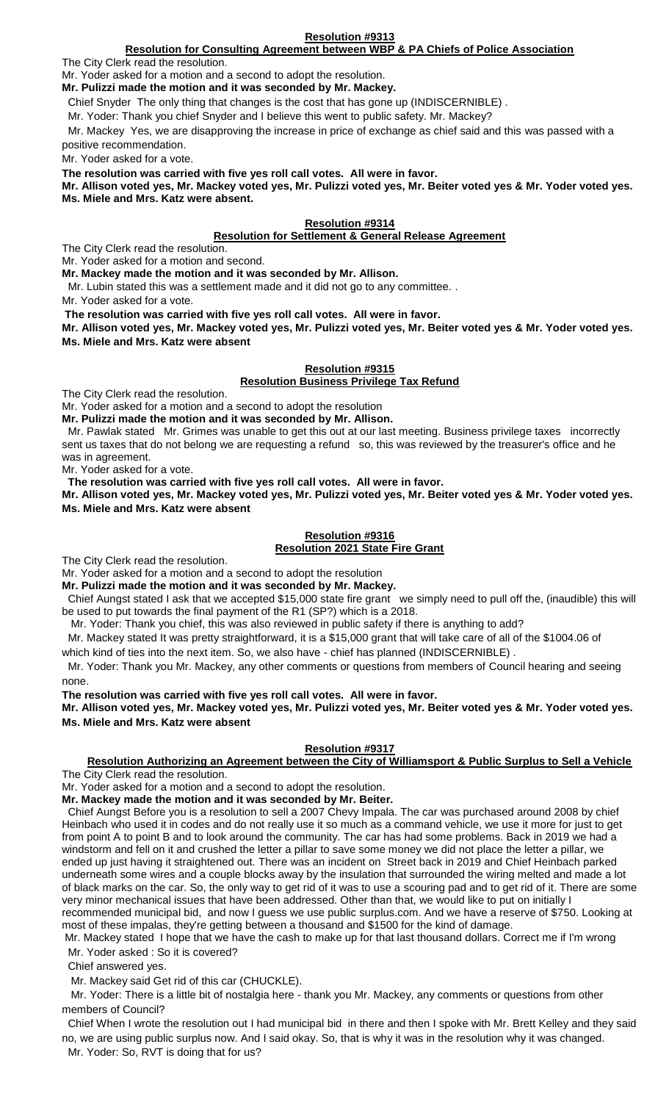# **Resolution for Consulting Agreement between WBP & PA Chiefs of Police Association**

The City Clerk read the resolution.

Mr. Yoder asked for a motion and a second to adopt the resolution. **Mr. Pulizzi made the motion and it was seconded by Mr. Mackey.**

Chief Snyder The only thing that changes is the cost that has gone up (INDISCERNIBLE) .

Mr. Yoder: Thank you chief Snyder and I believe this went to public safety. Mr. Mackey?

 Mr. Mackey Yes, we are disapproving the increase in price of exchange as chief said and this was passed with a positive recommendation.

Mr. Yoder asked for a vote.

**The resolution was carried with five yes roll call votes. All were in favor.**

**Mr. Allison voted yes, Mr. Mackey voted yes, Mr. Pulizzi voted yes, Mr. Beiter voted yes & Mr. Yoder voted yes. Ms. Miele and Mrs. Katz were absent.**

**Resolution #9314**

### **Resolution for Settlement & General Release Agreement**

The City Clerk read the resolution.

Mr. Yoder asked for a motion and second.

**Mr. Mackey made the motion and it was seconded by Mr. Allison.**

Mr. Lubin stated this was a settlement made and it did not go to any committee. .

Mr. Yoder asked for a vote.

**The resolution was carried with five yes roll call votes. All were in favor.**

**Mr. Allison voted yes, Mr. Mackey voted yes, Mr. Pulizzi voted yes, Mr. Beiter voted yes & Mr. Yoder voted yes. Ms. Miele and Mrs. Katz were absent**

### **Resolution #9315 Resolution Business Privilege Tax Refund**

The City Clerk read the resolution.

Mr. Yoder asked for a motion and a second to adopt the resolution

**Mr. Pulizzi made the motion and it was seconded by Mr. Allison.**

 Mr. Pawlak stated Mr. Grimes was unable to get this out at our last meeting. Business privilege taxes incorrectly sent us taxes that do not belong we are requesting a refund so, this was reviewed by the treasurer's office and he was in agreement.

Mr. Yoder asked for a vote.

**The resolution was carried with five yes roll call votes. All were in favor.**

**Mr. Allison voted yes, Mr. Mackey voted yes, Mr. Pulizzi voted yes, Mr. Beiter voted yes & Mr. Yoder voted yes. Ms. Miele and Mrs. Katz were absent**

#### **Resolution #9316 Resolution 2021 State Fire Grant**

The City Clerk read the resolution.

Mr. Yoder asked for a motion and a second to adopt the resolution

**Mr. Pulizzi made the motion and it was seconded by Mr. Mackey.**

 Chief Aungst stated I ask that we accepted \$15,000 state fire grant we simply need to pull off the, (inaudible) this will be used to put towards the final payment of the R1 (SP?) which is a 2018.

Mr. Yoder: Thank you chief, this was also reviewed in public safety if there is anything to add?

Mr. Mackey stated It was pretty straightforward, it is a \$15,000 grant that will take care of all of the \$1004.06 of

which kind of ties into the next item. So, we also have - chief has planned (INDISCERNIBLE).

 Mr. Yoder: Thank you Mr. Mackey, any other comments or questions from members of Council hearing and seeing none.

**The resolution was carried with five yes roll call votes. All were in favor.**

**Mr. Allison voted yes, Mr. Mackey voted yes, Mr. Pulizzi voted yes, Mr. Beiter voted yes & Mr. Yoder voted yes. Ms. Miele and Mrs. Katz were absent**

### **Resolution #9317**

### **Resolution Authorizing an Agreement between the City of Williamsport & Public Surplus to Sell a Vehicle** The City Clerk read the resolution.

Mr. Yoder asked for a motion and a second to adopt the resolution.

**Mr. Mackey made the motion and it was seconded by Mr. Beiter.**

 Chief Aungst Before you is a resolution to sell a 2007 Chevy Impala. The car was purchased around 2008 by chief Heinbach who used it in codes and do not really use it so much as a command vehicle, we use it more for just to get from point A to point B and to look around the community. The car has had some problems. Back in 2019 we had a windstorm and fell on it and crushed the letter a pillar to save some money we did not place the letter a pillar, we ended up just having it straightened out. There was an incident on Street back in 2019 and Chief Heinbach parked underneath some wires and a couple blocks away by the insulation that surrounded the wiring melted and made a lot of black marks on the car. So, the only way to get rid of it was to use a scouring pad and to get rid of it. There are some very minor mechanical issues that have been addressed. Other than that, we would like to put on initially I recommended municipal bid, and now I guess we use public surplus.com. And we have a reserve of \$750. Looking at

most of these impalas, they're getting between a thousand and \$1500 for the kind of damage. Mr. Mackey stated I hope that we have the cash to make up for that last thousand dollars. Correct me if I'm wrong

Mr. Yoder asked : So it is covered?

Chief answered yes.

Mr. Mackey said Get rid of this car (CHUCKLE).

 Mr. Yoder: There is a little bit of nostalgia here - thank you Mr. Mackey, any comments or questions from other members of Council?

 Chief When I wrote the resolution out I had municipal bid in there and then I spoke with Mr. Brett Kelley and they said no, we are using public surplus now. And I said okay. So, that is why it was in the resolution why it was changed. Mr. Yoder: So, RVT is doing that for us?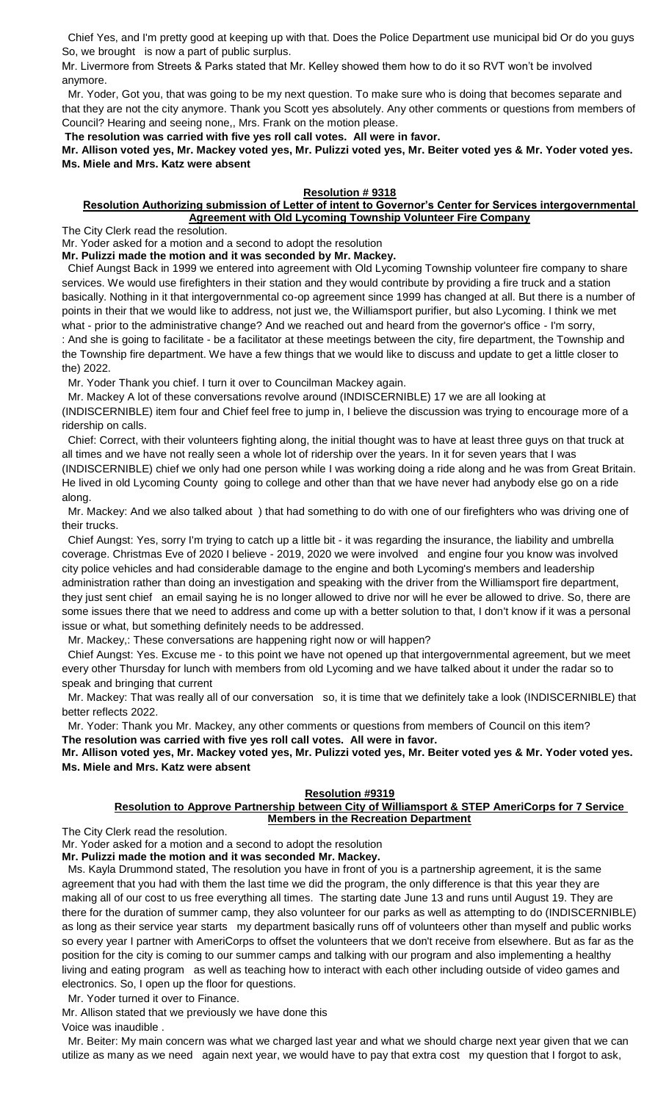Chief Yes, and I'm pretty good at keeping up with that. Does the Police Department use municipal bid Or do you guys So, we brought is now a part of public surplus.

Mr. Livermore from Streets & Parks stated that Mr. Kelley showed them how to do it so RVT won't be involved anymore.

 Mr. Yoder, Got you, that was going to be my next question. To make sure who is doing that becomes separate and that they are not the city anymore. Thank you Scott yes absolutely. Any other comments or questions from members of Council? Hearing and seeing none,, Mrs. Frank on the motion please.

**The resolution was carried with five yes roll call votes. All were in favor.**

**Mr. Allison voted yes, Mr. Mackey voted yes, Mr. Pulizzi voted yes, Mr. Beiter voted yes & Mr. Yoder voted yes. Ms. Miele and Mrs. Katz were absent**

### **Resolution # 9318**

### **Resolution Authorizing submission of Letter of intent to Governor's Center for Services intergovernmental Agreement with Old Lycoming Township Volunteer Fire Company**

The City Clerk read the resolution.

Mr. Yoder asked for a motion and a second to adopt the resolution

**Mr. Pulizzi made the motion and it was seconded by Mr. Mackey.**

 Chief Aungst Back in 1999 we entered into agreement with Old Lycoming Township volunteer fire company to share services. We would use firefighters in their station and they would contribute by providing a fire truck and a station basically. Nothing in it that intergovernmental co-op agreement since 1999 has changed at all. But there is a number of points in their that we would like to address, not just we, the Williamsport purifier, but also Lycoming. I think we met what - prior to the administrative change? And we reached out and heard from the governor's office - I'm sorry, : And she is going to facilitate - be a facilitator at these meetings between the city, fire department, the Township and the Township fire department. We have a few things that we would like to discuss and update to get a little closer to the) 2022.

Mr. Yoder Thank you chief. I turn it over to Councilman Mackey again.

Mr. Mackey A lot of these conversations revolve around (INDISCERNIBLE) 17 we are all looking at

(INDISCERNIBLE) item four and Chief feel free to jump in, I believe the discussion was trying to encourage more of a ridership on calls.

 Chief: Correct, with their volunteers fighting along, the initial thought was to have at least three guys on that truck at all times and we have not really seen a whole lot of ridership over the years. In it for seven years that I was (INDISCERNIBLE) chief we only had one person while I was working doing a ride along and he was from Great Britain. He lived in old Lycoming County going to college and other than that we have never had anybody else go on a ride along.

 Mr. Mackey: And we also talked about ) that had something to do with one of our firefighters who was driving one of their trucks.

 Chief Aungst: Yes, sorry I'm trying to catch up a little bit - it was regarding the insurance, the liability and umbrella coverage. Christmas Eve of 2020 I believe - 2019, 2020 we were involved and engine four you know was involved city police vehicles and had considerable damage to the engine and both Lycoming's members and leadership administration rather than doing an investigation and speaking with the driver from the Williamsport fire department, they just sent chief an email saying he is no longer allowed to drive nor will he ever be allowed to drive. So, there are some issues there that we need to address and come up with a better solution to that, I don't know if it was a personal issue or what, but something definitely needs to be addressed.

Mr. Mackey,: These conversations are happening right now or will happen?

 Chief Aungst: Yes. Excuse me - to this point we have not opened up that intergovernmental agreement, but we meet every other Thursday for lunch with members from old Lycoming and we have talked about it under the radar so to speak and bringing that current

 Mr. Mackey: That was really all of our conversation so, it is time that we definitely take a look (INDISCERNIBLE) that better reflects 2022.

 Mr. Yoder: Thank you Mr. Mackey, any other comments or questions from members of Council on this item? **The resolution was carried with five yes roll call votes. All were in favor.**

**Mr. Allison voted yes, Mr. Mackey voted yes, Mr. Pulizzi voted yes, Mr. Beiter voted yes & Mr. Yoder voted yes. Ms. Miele and Mrs. Katz were absent**

### **Resolution #9319**

### **Resolution to Approve Partnership between City of Williamsport & STEP AmeriCorps for 7 Service Members in the Recreation Department**

The City Clerk read the resolution.

Mr. Yoder asked for a motion and a second to adopt the resolution

**Mr. Pulizzi made the motion and it was seconded Mr. Mackey.**

 Ms. Kayla Drummond stated, The resolution you have in front of you is a partnership agreement, it is the same agreement that you had with them the last time we did the program, the only difference is that this year they are making all of our cost to us free everything all times. The starting date June 13 and runs until August 19. They are there for the duration of summer camp, they also volunteer for our parks as well as attempting to do (INDISCERNIBLE) as long as their service year starts my department basically runs off of volunteers other than myself and public works so every year I partner with AmeriCorps to offset the volunteers that we don't receive from elsewhere. But as far as the position for the city is coming to our summer camps and talking with our program and also implementing a healthy living and eating program as well as teaching how to interact with each other including outside of video games and electronics. So, I open up the floor for questions.

Mr. Yoder turned it over to Finance.

Mr. Allison stated that we previously we have done this Voice was inaudible .

 Mr. Beiter: My main concern was what we charged last year and what we should charge next year given that we can utilize as many as we need again next year, we would have to pay that extra cost my question that I forgot to ask,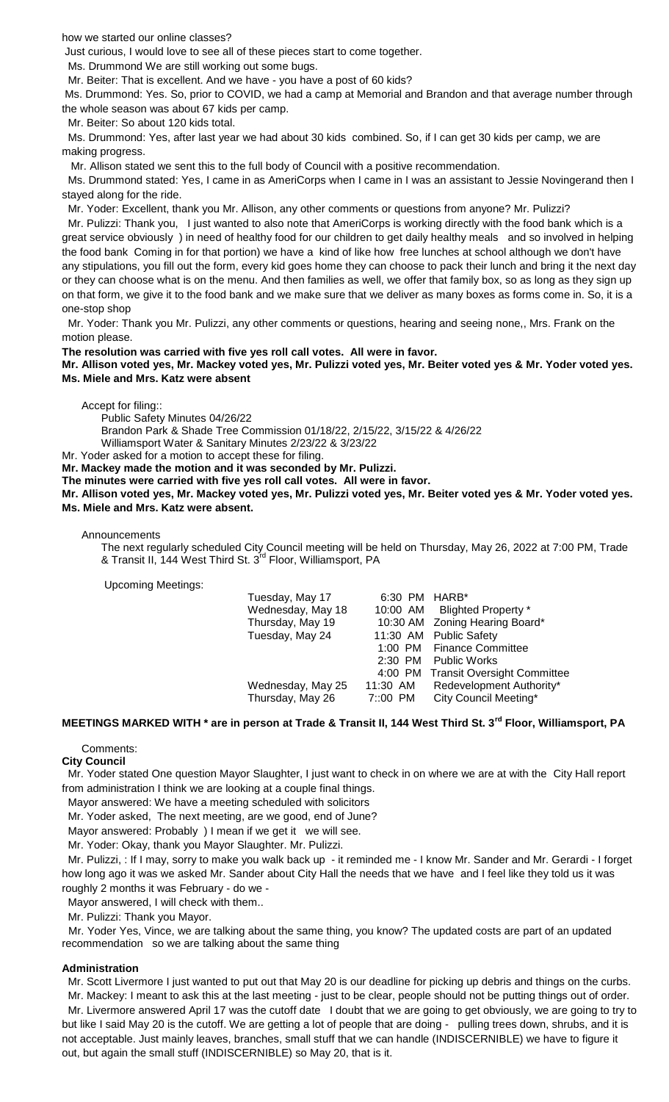how we started our online classes?

Just curious, I would love to see all of these pieces start to come together.

Ms. Drummond We are still working out some bugs.

Mr. Beiter: That is excellent. And we have - you have a post of 60 kids?

Ms. Drummond: Yes. So, prior to COVID, we had a camp at Memorial and Brandon and that average number through the whole season was about 67 kids per camp.

Mr. Beiter: So about 120 kids total.

 Ms. Drummond: Yes, after last year we had about 30 kids combined. So, if I can get 30 kids per camp, we are making progress.

Mr. Allison stated we sent this to the full body of Council with a positive recommendation.

 Ms. Drummond stated: Yes, I came in as AmeriCorps when I came in I was an assistant to Jessie Novingerand then I stayed along for the ride.

Mr. Yoder: Excellent, thank you Mr. Allison, any other comments or questions from anyone? Mr. Pulizzi?

 Mr. Pulizzi: Thank you, I just wanted to also note that AmeriCorps is working directly with the food bank which is a great service obviously ) in need of healthy food for our children to get daily healthy meals and so involved in helping the food bank Coming in for that portion) we have a kind of like how free lunches at school although we don't have any stipulations, you fill out the form, every kid goes home they can choose to pack their lunch and bring it the next day or they can choose what is on the menu. And then families as well, we offer that family box, so as long as they sign up on that form, we give it to the food bank and we make sure that we deliver as many boxes as forms come in. So, it is a one-stop shop

 Mr. Yoder: Thank you Mr. Pulizzi, any other comments or questions, hearing and seeing none,, Mrs. Frank on the motion please.

**The resolution was carried with five yes roll call votes. All were in favor.**

**Mr. Allison voted yes, Mr. Mackey voted yes, Mr. Pulizzi voted yes, Mr. Beiter voted yes & Mr. Yoder voted yes. Ms. Miele and Mrs. Katz were absent**

Accept for filing::

Public Safety Minutes 04/26/22

Brandon Park & Shade Tree Commission 01/18/22, 2/15/22, 3/15/22 & 4/26/22 Williamsport Water & Sanitary Minutes 2/23/22 & 3/23/22

Mr. Yoder asked for a motion to accept these for filing.

**Mr. Mackey made the motion and it was seconded by Mr. Pulizzi.**

**The minutes were carried with five yes roll call votes. All were in favor.**

**Mr. Allison voted yes, Mr. Mackey voted yes, Mr. Pulizzi voted yes, Mr. Beiter voted yes & Mr. Yoder voted yes. Ms. Miele and Mrs. Katz were absent.**

Announcements

The next regularly scheduled City Council meeting will be held on Thursday, May 26, 2022 at 7:00 PM, Trade & Transit II, 144 West Third St. 3<sup>rd</sup> Floor, Williamsport, PA

Upcoming Meetings:

| Tuesday, May 17   | 6:30 PM HARB* |                                     |
|-------------------|---------------|-------------------------------------|
| Wednesday, May 18 |               | 10:00 AM Blighted Property *        |
| Thursday, May 19  |               | 10:30 AM Zoning Hearing Board*      |
| Tuesday, May 24   |               | 11:30 AM Public Safety              |
|                   |               | 1:00 PM Finance Committee           |
|                   | 2:30 PM       | <b>Public Works</b>                 |
|                   |               | 4:00 PM Transit Oversight Committee |
| Wednesday, May 25 | 11:30 AM      | Redevelopment Authority*            |
| Thursday, May 26  | 7::00 PM      | City Council Meeting*               |
|                   |               |                                     |

# **MEETINGS MARKED WITH \* are in person at Trade & Transit II, 144 West Third St. 3rd Floor, Williamsport, PA**

Comments:

**City Council**

 Mr. Yoder stated One question Mayor Slaughter, I just want to check in on where we are at with the City Hall report from administration I think we are looking at a couple final things.

Mayor answered: We have a meeting scheduled with solicitors

Mr. Yoder asked, The next meeting, are we good, end of June?

Mayor answered: Probably ) I mean if we get it we will see.

Mr. Yoder: Okay, thank you Mayor Slaughter. Mr. Pulizzi.

 Mr. Pulizzi, : If I may, sorry to make you walk back up - it reminded me - I know Mr. Sander and Mr. Gerardi - I forget how long ago it was we asked Mr. Sander about City Hall the needs that we have and I feel like they told us it was roughly 2 months it was February - do we -

Mayor answered, I will check with them..

Mr. Pulizzi: Thank you Mayor.

 Mr. Yoder Yes, Vince, we are talking about the same thing, you know? The updated costs are part of an updated recommendation so we are talking about the same thing

### **Administration**

 Mr. Scott Livermore I just wanted to put out that May 20 is our deadline for picking up debris and things on the curbs. Mr. Mackey: I meant to ask this at the last meeting - just to be clear, people should not be putting things out of order.

 Mr. Livermore answered April 17 was the cutoff date I doubt that we are going to get obviously, we are going to try to but like I said May 20 is the cutoff. We are getting a lot of people that are doing - pulling trees down, shrubs, and it is not acceptable. Just mainly leaves, branches, small stuff that we can handle (INDISCERNIBLE) we have to figure it out, but again the small stuff (INDISCERNIBLE) so May 20, that is it.